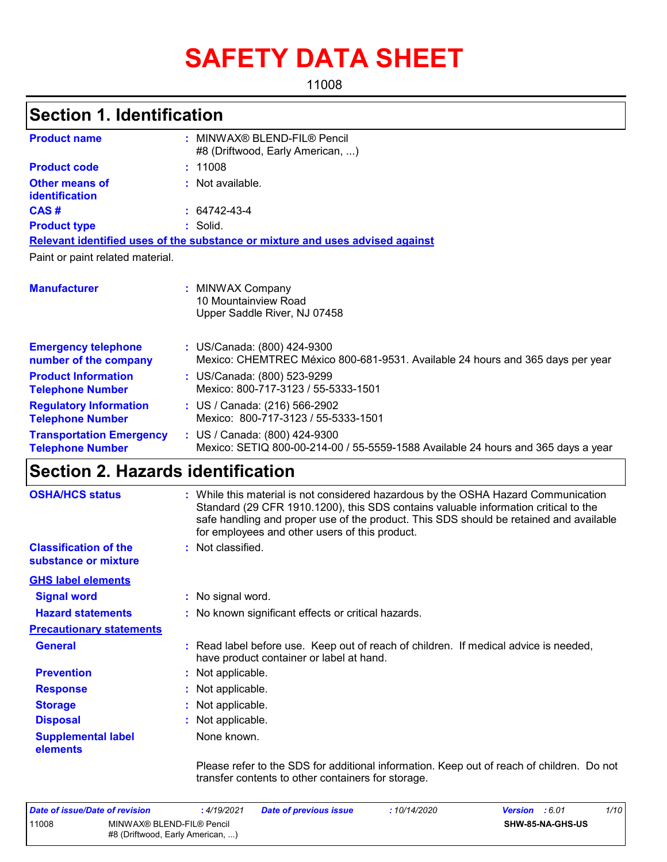# **SAFETY DATA SHEET**

11008

## **Section 1. Identification**

| <b>Product name</b>                                        | : MINWAX® BLEND-FIL® Pencil<br>#8 (Driftwood, Early American, )                                                    |
|------------------------------------------------------------|--------------------------------------------------------------------------------------------------------------------|
| <b>Product code</b>                                        | : 11008                                                                                                            |
| Other means of<br><b>identification</b>                    | $:$ Not available.                                                                                                 |
| CAS#                                                       | $: 64742 - 43 - 4$                                                                                                 |
| <b>Product type</b>                                        | : Solid.                                                                                                           |
|                                                            | Relevant identified uses of the substance or mixture and uses advised against                                      |
| Paint or paint related material.                           |                                                                                                                    |
| <b>Manufacturer</b>                                        | : MINWAX Company<br>10 Mountainview Road<br>Upper Saddle River, NJ 07458                                           |
| <b>Emergency telephone</b><br>number of the company        | : US/Canada: (800) 424-9300<br>Mexico: CHEMTREC México 800-681-9531. Available 24 hours and 365 days per year      |
| <b>Product Information</b><br><b>Telephone Number</b>      | : US/Canada: (800) 523-9299<br>Mexico: 800-717-3123 / 55-5333-1501                                                 |
| <b>Regulatory Information</b><br><b>Telephone Number</b>   | : US / Canada: (216) 566-2902<br>Mexico: 800-717-3123 / 55-5333-1501                                               |
| <b>Transportation Emergency</b><br><b>Telephone Number</b> | : US / Canada: (800) 424-9300<br>Mexico: SETIQ 800-00-214-00 / 55-5559-1588 Available 24 hours and 365 days a year |

## **Section 2. Hazards identification**

| <b>OSHA/HCS status</b>                               | : While this material is not considered hazardous by the OSHA Hazard Communication<br>Standard (29 CFR 1910.1200), this SDS contains valuable information critical to the<br>safe handling and proper use of the product. This SDS should be retained and available<br>for employees and other users of this product. |
|------------------------------------------------------|-----------------------------------------------------------------------------------------------------------------------------------------------------------------------------------------------------------------------------------------------------------------------------------------------------------------------|
| <b>Classification of the</b><br>substance or mixture | : Not classified.                                                                                                                                                                                                                                                                                                     |
| <b>GHS label elements</b>                            |                                                                                                                                                                                                                                                                                                                       |
| <b>Signal word</b>                                   | : No signal word.                                                                                                                                                                                                                                                                                                     |
| <b>Hazard statements</b>                             | : No known significant effects or critical hazards.                                                                                                                                                                                                                                                                   |
| <b>Precautionary statements</b>                      |                                                                                                                                                                                                                                                                                                                       |
| <b>General</b>                                       | : Read label before use. Keep out of reach of children. If medical advice is needed,<br>have product container or label at hand.                                                                                                                                                                                      |
| <b>Prevention</b>                                    | : Not applicable.                                                                                                                                                                                                                                                                                                     |
| <b>Response</b>                                      | : Not applicable.                                                                                                                                                                                                                                                                                                     |
| <b>Storage</b>                                       | : Not applicable.                                                                                                                                                                                                                                                                                                     |
| <b>Disposal</b>                                      | : Not applicable.                                                                                                                                                                                                                                                                                                     |
| <b>Supplemental label</b><br>elements                | None known.                                                                                                                                                                                                                                                                                                           |
|                                                      | Please refer to the SDS for additional information. Keep out of reach of children. Do not                                                                                                                                                                                                                             |

transfer contents to other containers for storage.

| Date of issue/Date of revision |                                                               | : 4/19/2021 | <b>Date of previous issue</b> | : 10/14/2020 | <b>Version</b> : 6.01 |                  | 1/10 |
|--------------------------------|---------------------------------------------------------------|-------------|-------------------------------|--------------|-----------------------|------------------|------|
| 11008                          | MINWAX® BLEND-FIL® Pencil<br>#8 (Driftwood, Early American, ) |             |                               |              |                       | SHW-85-NA-GHS-US |      |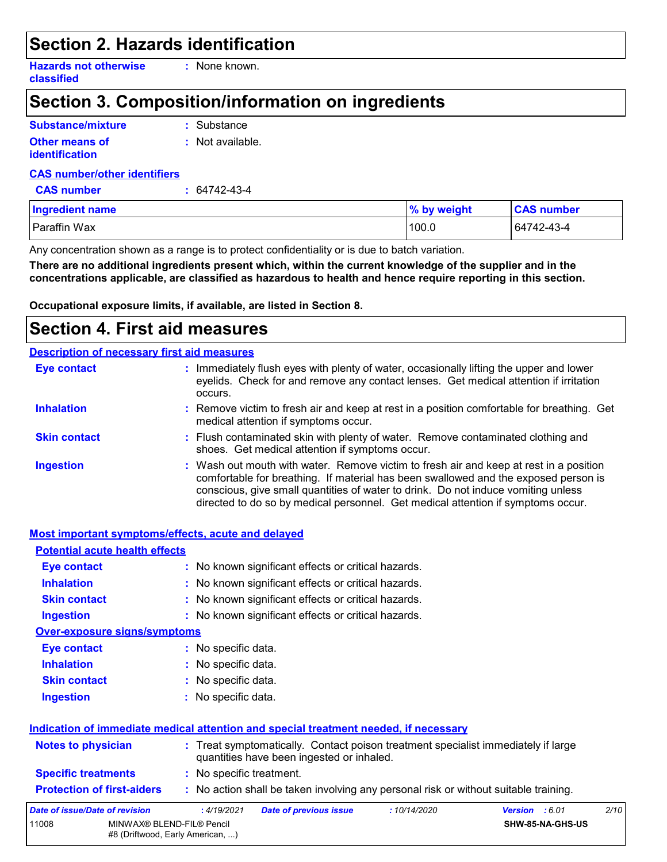### **Section 2. Hazards identification**

**Hazards not otherwise classified**

**:** None known.

## **Section 3. Composition/information on ingredients**

| Substance/mixture     | : Substance      |
|-----------------------|------------------|
| <b>Other means of</b> | : Not available. |
| identification        |                  |

#### **CAS number/other identifiers**

**CAS number :** 64742-43-4

| <b>Ingredient name</b> | % by weight | <b>CAS number</b> |
|------------------------|-------------|-------------------|
| Paraffin Wax           | 100.0       | 64742-43-4        |

Any concentration shown as a range is to protect confidentiality or is due to batch variation.

**There are no additional ingredients present which, within the current knowledge of the supplier and in the concentrations applicable, are classified as hazardous to health and hence require reporting in this section.**

**Occupational exposure limits, if available, are listed in Section 8.**

## **Section 4. First aid measures**

#### **Description of necessary first aid measures**

| <b>Eye contact</b>  | : Immediately flush eyes with plenty of water, occasionally lifting the upper and lower<br>eyelids. Check for and remove any contact lenses. Get medical attention if irritation<br>occurs.                                                                                                                                                            |
|---------------------|--------------------------------------------------------------------------------------------------------------------------------------------------------------------------------------------------------------------------------------------------------------------------------------------------------------------------------------------------------|
| <b>Inhalation</b>   | : Remove victim to fresh air and keep at rest in a position comfortable for breathing. Get<br>medical attention if symptoms occur.                                                                                                                                                                                                                     |
| <b>Skin contact</b> | : Flush contaminated skin with plenty of water. Remove contaminated clothing and<br>shoes. Get medical attention if symptoms occur.                                                                                                                                                                                                                    |
| <b>Ingestion</b>    | : Wash out mouth with water. Remove victim to fresh air and keep at rest in a position<br>comfortable for breathing. If material has been swallowed and the exposed person is<br>conscious, give small quantities of water to drink. Do not induce vomiting unless<br>directed to do so by medical personnel. Get medical attention if symptoms occur. |

#### **Protection of first-aiders :** No action shall be taken involving any personal risk or without suitable training. **Notes to physician <b>:** Treat symptomatically. Contact poison treatment specialist immediately if large quantities have been ingested or inhaled. **Specific treatments :** No specific treatment. **Most important symptoms/effects, acute and delayed Inhalation <b>:** No known significant effects or critical hazards. **Ingestion :** No known significant effects or critical hazards. **Skin contact :** No known significant effects or critical hazards. **Eye contact :** No known significant effects or critical hazards. **Over-exposure signs/symptoms Skin contact Ingestion Inhalation :** No specific data. No specific data. **:** No specific data. **: Eye contact :** No specific data. **Potential acute health effects Indication of immediate medical attention and special treatment needed, if necessary** *Date of issue/Date of revision* **:** *4/19/2021 Date of previous issue : 10/14/2020 Version : 6.01 2/10* 11008 MINWAX® BLEND-FIL® Pencil #8 (Driftwood, Early American, ...) **SHW-85-NA-GHS-US**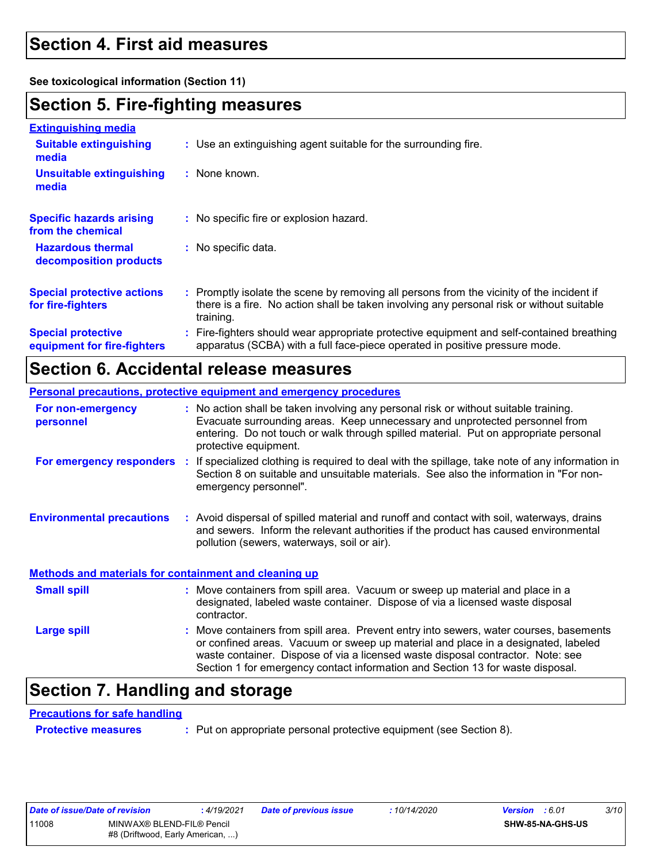### **Section 4. First aid measures**

**See toxicological information (Section 11)**

### **Section 5. Fire-fighting measures**

| <b>Extinguishing media</b>                               |                                                                                                                                                                                                     |
|----------------------------------------------------------|-----------------------------------------------------------------------------------------------------------------------------------------------------------------------------------------------------|
| <b>Suitable extinguishing</b><br>media                   | : Use an extinguishing agent suitable for the surrounding fire.                                                                                                                                     |
| <b>Unsuitable extinguishing</b><br>media                 | : None known.                                                                                                                                                                                       |
| <b>Specific hazards arising</b><br>from the chemical     | : No specific fire or explosion hazard.                                                                                                                                                             |
| <b>Hazardous thermal</b><br>decomposition products       | : No specific data.                                                                                                                                                                                 |
| <b>Special protective actions</b><br>for fire-fighters   | : Promptly isolate the scene by removing all persons from the vicinity of the incident if<br>there is a fire. No action shall be taken involving any personal risk or without suitable<br>training. |
| <b>Special protective</b><br>equipment for fire-fighters | : Fire-fighters should wear appropriate protective equipment and self-contained breathing<br>apparatus (SCBA) with a full face-piece operated in positive pressure mode.                            |

### **Section 6. Accidental release measures**

|                                                              | <b>Personal precautions, protective equipment and emergency procedures</b>                                                                                                                                                                                                           |
|--------------------------------------------------------------|--------------------------------------------------------------------------------------------------------------------------------------------------------------------------------------------------------------------------------------------------------------------------------------|
| For non-emergency<br>personnel                               | : No action shall be taken involving any personal risk or without suitable training.<br>Evacuate surrounding areas. Keep unnecessary and unprotected personnel from<br>entering. Do not touch or walk through spilled material. Put on appropriate personal<br>protective equipment. |
| For emergency responders                                     | If specialized clothing is required to deal with the spillage, take note of any information in<br>÷.<br>Section 8 on suitable and unsuitable materials. See also the information in "For non-<br>emergency personnel".                                                               |
| <b>Environmental precautions</b>                             | : Avoid dispersal of spilled material and runoff and contact with soil, waterways, drains<br>and sewers. Inform the relevant authorities if the product has caused environmental<br>pollution (sewers, waterways, soil or air).                                                      |
| <b>Methods and materials for containment and cleaning up</b> |                                                                                                                                                                                                                                                                                      |
| <b>Small spill</b>                                           | : Move containers from spill area. Vacuum or sweep up material and place in a<br>designated, labeled waste container. Dispose of via a licensed waste disposal<br>contractor.                                                                                                        |

: Move containers from spill area. Prevent entry into sewers, water courses, basements or confined areas. Vacuum or sweep up material and place in a designated, labeled waste container. Dispose of via a licensed waste disposal contractor. Note: see Section 1 for emergency contact information and Section 13 for waste disposal. **Large spill :**

### **Section 7. Handling and storage**

#### **Precautions for safe handling**

**Protective measures :** Put on appropriate personal protective equipment (see Section 8).

| Date of issue/Date of revision |                                                               | : 4/19/2021 | <b>Date of previous issue</b> | : 10/14/2020 | <b>Version</b> : 6.01 |                         | 3/10 |
|--------------------------------|---------------------------------------------------------------|-------------|-------------------------------|--------------|-----------------------|-------------------------|------|
| 11008                          | MINWAX® BLEND-FIL® Pencil<br>#8 (Driftwood, Early American, ) |             |                               |              |                       | <b>SHW-85-NA-GHS-US</b> |      |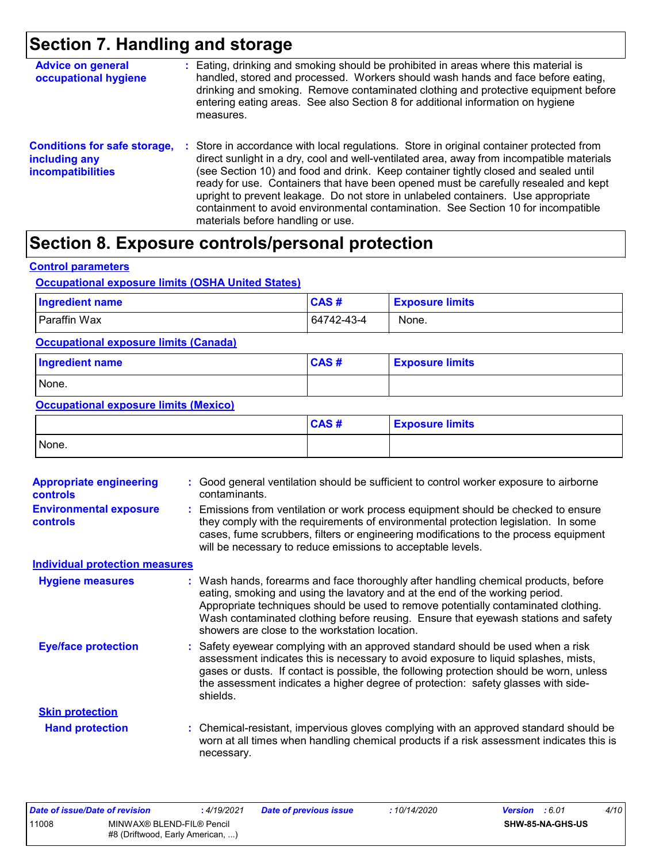## **Section 7. Handling and storage**

| <b>Advice on general</b><br>occupational hygiene                                 | : Eating, drinking and smoking should be prohibited in areas where this material is<br>handled, stored and processed. Workers should wash hands and face before eating,<br>drinking and smoking. Remove contaminated clothing and protective equipment before<br>entering eating areas. See also Section 8 for additional information on hygiene<br>measures.                                                                                                                                                                                                                      |  |
|----------------------------------------------------------------------------------|------------------------------------------------------------------------------------------------------------------------------------------------------------------------------------------------------------------------------------------------------------------------------------------------------------------------------------------------------------------------------------------------------------------------------------------------------------------------------------------------------------------------------------------------------------------------------------|--|
| <b>Conditions for safe storage,</b><br>including any<br><b>incompatibilities</b> | : Store in accordance with local regulations. Store in original container protected from<br>direct sunlight in a dry, cool and well-ventilated area, away from incompatible materials<br>(see Section 10) and food and drink. Keep container tightly closed and sealed until<br>ready for use. Containers that have been opened must be carefully resealed and kept<br>upright to prevent leakage. Do not store in unlabeled containers. Use appropriate<br>containment to avoid environmental contamination. See Section 10 for incompatible<br>materials before handling or use. |  |

## **Section 8. Exposure controls/personal protection**

**Control parameters**

#### **Occupational exposure limits (OSHA United States)**

| <b>Ingredient name</b> | CAS#       | <b>Exposure limits</b> |
|------------------------|------------|------------------------|
| Paraffin Wax           | 64742-43-4 | None.                  |

**Occupational exposure limits (Canada)**

| <b>Ingredient name</b> | CAS# | <b>Exposure limits</b> |
|------------------------|------|------------------------|
| None.                  |      |                        |

#### **Occupational exposure limits (Mexico)**

|       | CAS# | <b>Exposure limits</b> |
|-------|------|------------------------|
| None. |      |                        |

| <b>Appropriate engineering</b><br><b>controls</b> | Good general ventilation should be sufficient to control worker exposure to airborne<br>contaminants.                                                                                                                                                                                                                                                                                             |
|---------------------------------------------------|---------------------------------------------------------------------------------------------------------------------------------------------------------------------------------------------------------------------------------------------------------------------------------------------------------------------------------------------------------------------------------------------------|
| <b>Environmental exposure</b><br><b>controls</b>  | Emissions from ventilation or work process equipment should be checked to ensure<br>they comply with the requirements of environmental protection legislation. In some<br>cases, fume scrubbers, filters or engineering modifications to the process equipment<br>will be necessary to reduce emissions to acceptable levels.                                                                     |
| <b>Individual protection measures</b>             |                                                                                                                                                                                                                                                                                                                                                                                                   |
| <b>Hygiene measures</b>                           | : Wash hands, forearms and face thoroughly after handling chemical products, before<br>eating, smoking and using the lavatory and at the end of the working period.<br>Appropriate techniques should be used to remove potentially contaminated clothing.<br>Wash contaminated clothing before reusing. Ensure that eyewash stations and safety<br>showers are close to the workstation location. |
| <b>Eye/face protection</b>                        | Safety eyewear complying with an approved standard should be used when a risk<br>assessment indicates this is necessary to avoid exposure to liquid splashes, mists,<br>gases or dusts. If contact is possible, the following protection should be worn, unless<br>the assessment indicates a higher degree of protection: safety glasses with side-<br>shields.                                  |
| <b>Skin protection</b>                            |                                                                                                                                                                                                                                                                                                                                                                                                   |
| <b>Hand protection</b>                            | : Chemical-resistant, impervious gloves complying with an approved standard should be<br>worn at all times when handling chemical products if a risk assessment indicates this is<br>necessary.                                                                                                                                                                                                   |

| Date of issue/Date of revision |                                                               | <u>:</u> 4/19/2021 | <b>Date of previous issue</b> | : 10/14/2020 | <b>Version</b> : 6.01 |                         | 4/10 |
|--------------------------------|---------------------------------------------------------------|--------------------|-------------------------------|--------------|-----------------------|-------------------------|------|
| 11008                          | MINWAX® BLEND-FIL® Pencil<br>#8 (Driftwood, Early American, ) |                    |                               |              |                       | <b>SHW-85-NA-GHS-US</b> |      |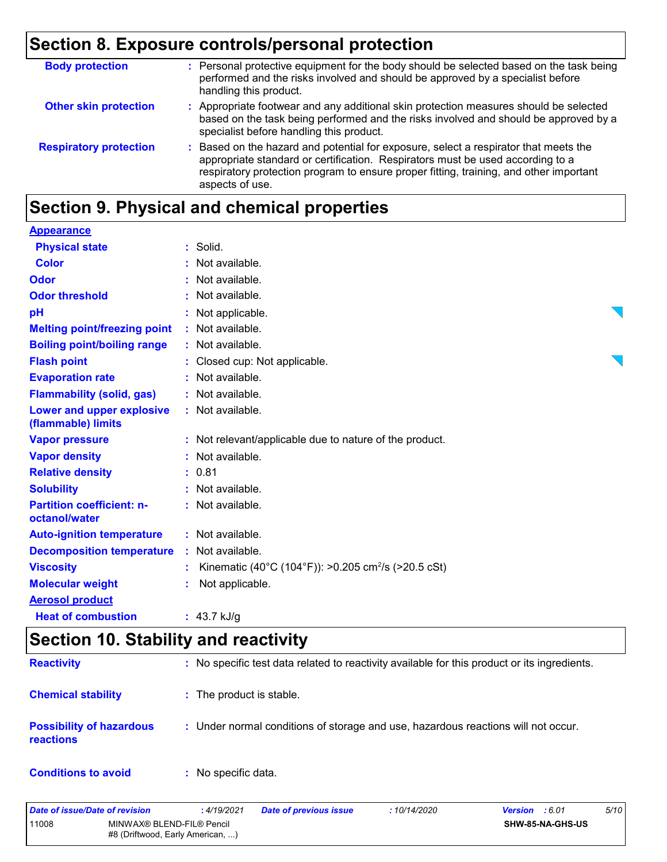## **Section 8. Exposure controls/personal protection**

| <b>Body protection</b>        | : Personal protective equipment for the body should be selected based on the task being<br>performed and the risks involved and should be approved by a specialist before<br>handling this product.                                                                                 |
|-------------------------------|-------------------------------------------------------------------------------------------------------------------------------------------------------------------------------------------------------------------------------------------------------------------------------------|
| <b>Other skin protection</b>  | : Appropriate footwear and any additional skin protection measures should be selected<br>based on the task being performed and the risks involved and should be approved by a<br>specialist before handling this product.                                                           |
| <b>Respiratory protection</b> | : Based on the hazard and potential for exposure, select a respirator that meets the<br>appropriate standard or certification. Respirators must be used according to a<br>respiratory protection program to ensure proper fitting, training, and other important<br>aspects of use. |

## **Section 9. Physical and chemical properties**

| <b>Appearance</b>                                 |                                                                 |  |
|---------------------------------------------------|-----------------------------------------------------------------|--|
| <b>Physical state</b>                             | $:$ Solid.                                                      |  |
| <b>Color</b>                                      | : Not available.                                                |  |
| Odor                                              | : Not available.                                                |  |
| <b>Odor threshold</b>                             | : Not available.                                                |  |
| pH                                                | : Not applicable.                                               |  |
| <b>Melting point/freezing point</b>               | : Not available.                                                |  |
| <b>Boiling point/boiling range</b>                | : Not available.                                                |  |
| <b>Flash point</b>                                | : Closed cup: Not applicable.                                   |  |
| <b>Evaporation rate</b>                           | : Not available.                                                |  |
| <b>Flammability (solid, gas)</b>                  | : Not available.                                                |  |
| Lower and upper explosive<br>(flammable) limits   | : Not available.                                                |  |
| <b>Vapor pressure</b>                             | : Not relevant/applicable due to nature of the product.         |  |
| <b>Vapor density</b>                              | : Not available.                                                |  |
| <b>Relative density</b>                           | : 0.81                                                          |  |
| <b>Solubility</b>                                 | : Not available.                                                |  |
| <b>Partition coefficient: n-</b><br>octanol/water | : Not available.                                                |  |
| <b>Auto-ignition temperature</b>                  | : Not available.                                                |  |
| <b>Decomposition temperature</b>                  | : Not available.                                                |  |
| <b>Viscosity</b>                                  | Kinematic (40°C (104°F)): >0.205 cm <sup>2</sup> /s (>20.5 cSt) |  |
| <b>Molecular weight</b>                           | Not applicable.                                                 |  |
| <b>Aerosol product</b>                            |                                                                 |  |
| <b>Heat of combustion</b>                         | : $43.7$ kJ/g                                                   |  |

## **Section 10. Stability and reactivity**

| <b>Reactivity</b>                                   | : No specific test data related to reactivity available for this product or its ingredients. |
|-----------------------------------------------------|----------------------------------------------------------------------------------------------|
| <b>Chemical stability</b>                           | : The product is stable.                                                                     |
| <b>Possibility of hazardous</b><br><b>reactions</b> | : Under normal conditions of storage and use, hazardous reactions will not occur.            |
| <b>Conditions to avoid</b>                          | : No specific data.                                                                          |

| Date of issue/Date of revision |                                                               | : 4/19/2021 | <b>Date of previous issue</b> | : 10/14/2020 | <b>Version</b> : 6.01   | 5/10 |
|--------------------------------|---------------------------------------------------------------|-------------|-------------------------------|--------------|-------------------------|------|
| 11008                          | MINWAX® BLEND-FIL® Pencil<br>#8 (Driftwood, Early American, ) |             |                               |              | <b>SHW-85-NA-GHS-US</b> |      |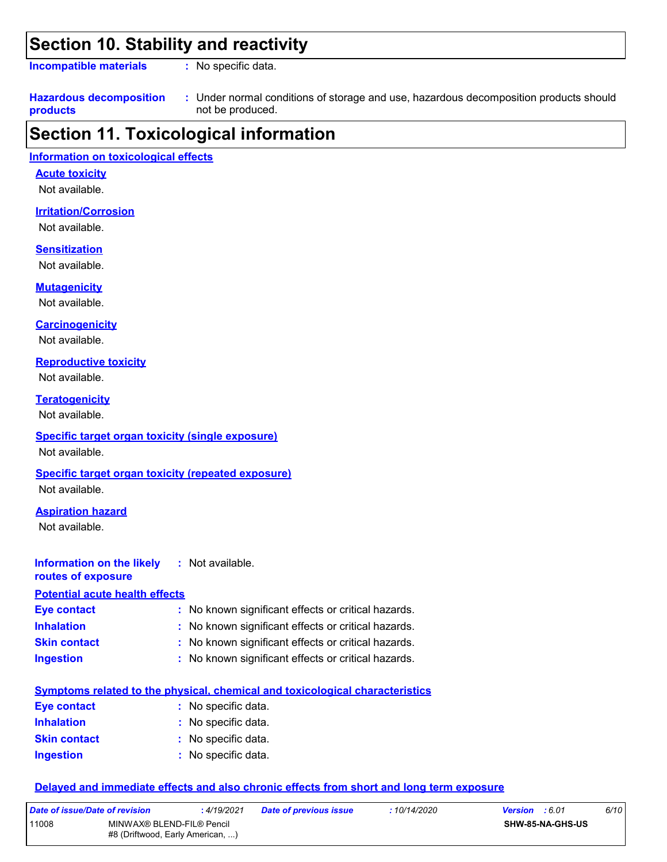### **Section 10. Stability and reactivity**

**Incompatible materials :**

: No specific data.

#### **Hazardous decomposition products** Under normal conditions of storage and use, hazardous decomposition products should **:** not be produced.

### **Section 11. Toxicological information**

#### **Information on toxicological effects**

**Acute toxicity**

Not available.

#### **Irritation/Corrosion**

Not available.

#### **Sensitization**

Not available.

**Mutagenicity**

Not available.

#### **Carcinogenicity**

Not available.

#### **Reproductive toxicity**

Not available.

**Teratogenicity**

Not available.

#### **Specific target organ toxicity (single exposure)**

Not available.

#### **Specific target organ toxicity (repeated exposure)**

Not available.

### **Aspiration hazard**

Not available.

#### **Information on the likely routes of exposure Inhalation :** No known significant effects or critical hazards. **Ingestion :** No known significant effects or critical hazards. **Skin contact :** No known significant effects or critical hazards. **Eye contact :** No known significant effects or critical hazards. **:** Not available. **Potential acute health effects**

|                     | <u>Symptoms related to the physical, chemical and toxicological characteristics</u> |
|---------------------|-------------------------------------------------------------------------------------|
| Eye contact         | : No specific data.                                                                 |
| <b>Inhalation</b>   | : No specific data.                                                                 |
| <b>Skin contact</b> | : No specific data.                                                                 |
| <b>Ingestion</b>    | : No specific data.                                                                 |

#### **Delayed and immediate effects and also chronic effects from short and long term exposure**

| Date of issue/Date of revision |                                                               | :4/19/2021 | <b>Date of previous issue</b> | : 10/14/2020 | <b>Version</b> : 6.01 |                         | 6/10 |
|--------------------------------|---------------------------------------------------------------|------------|-------------------------------|--------------|-----------------------|-------------------------|------|
| 11008                          | MINWAX® BLEND-FIL® Pencil<br>#8 (Driftwood, Early American, ) |            |                               |              |                       | <b>SHW-85-NA-GHS-US</b> |      |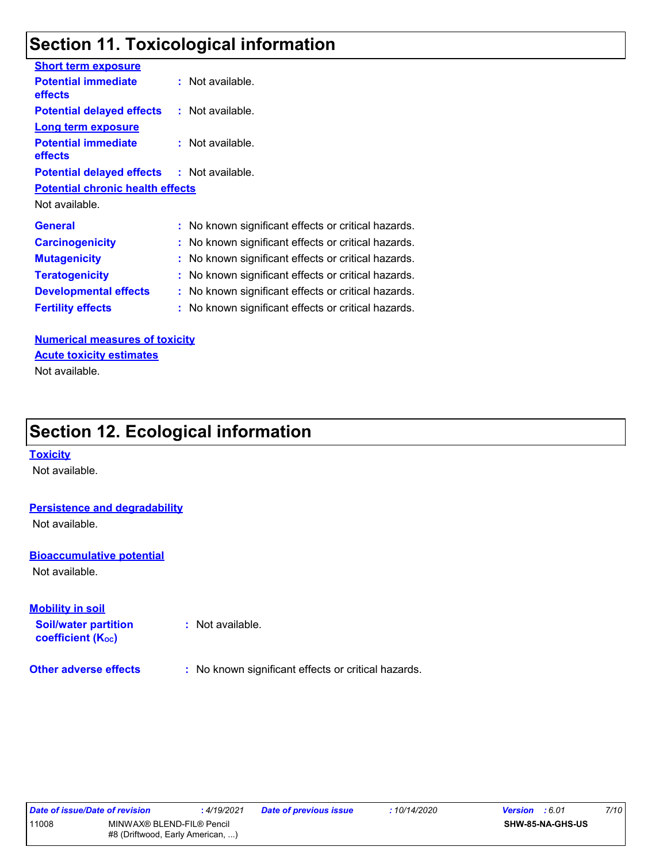## **Section 11. Toxicological information**

| <b>Short term exposure</b>                        |                                                     |
|---------------------------------------------------|-----------------------------------------------------|
| <b>Potential immediate</b><br><b>effects</b>      | $:$ Not available.                                  |
| <b>Potential delayed effects</b>                  | $:$ Not available.                                  |
| <b>Long term exposure</b>                         |                                                     |
| <b>Potential immediate</b><br>effects             | $:$ Not available.                                  |
| <b>Potential delayed effects : Not available.</b> |                                                     |
| <b>Potential chronic health effects</b>           |                                                     |
| Not available.                                    |                                                     |
| <b>General</b>                                    | : No known significant effects or critical hazards. |
| <b>Carcinogenicity</b>                            | : No known significant effects or critical hazards. |
| <b>Mutagenicity</b>                               | : No known significant effects or critical hazards. |
| <b>Teratogenicity</b>                             | No known significant effects or critical hazards.   |
| <b>Developmental effects</b>                      | : No known significant effects or critical hazards. |
| <b>Fertility effects</b>                          | No known significant effects or critical hazards.   |
|                                                   |                                                     |

**Numerical measures of toxicity** Not available. **Acute toxicity estimates**

## **Section 12. Ecological information**

#### **Toxicity**

Not available.

#### **Persistence and degradability**

Not available.

#### **Bioaccumulative potential**

Not available.

#### **Mobility in soil**

**Soil/water partition coefficient (KOC)**

**:** Not available.

**Other adverse effects** : No known significant effects or critical hazards.

| Date of issue/Date of revision |                                                               | : 4/19/2021 | <b>Date of previous issue</b> | : 10/14/2020 | <b>Version</b> : 6.01   | 7/10 |
|--------------------------------|---------------------------------------------------------------|-------------|-------------------------------|--------------|-------------------------|------|
| 11008                          | MINWAX® BLEND-FIL® Pencil<br>#8 (Driftwood, Early American, ) |             |                               |              | <b>SHW-85-NA-GHS-US</b> |      |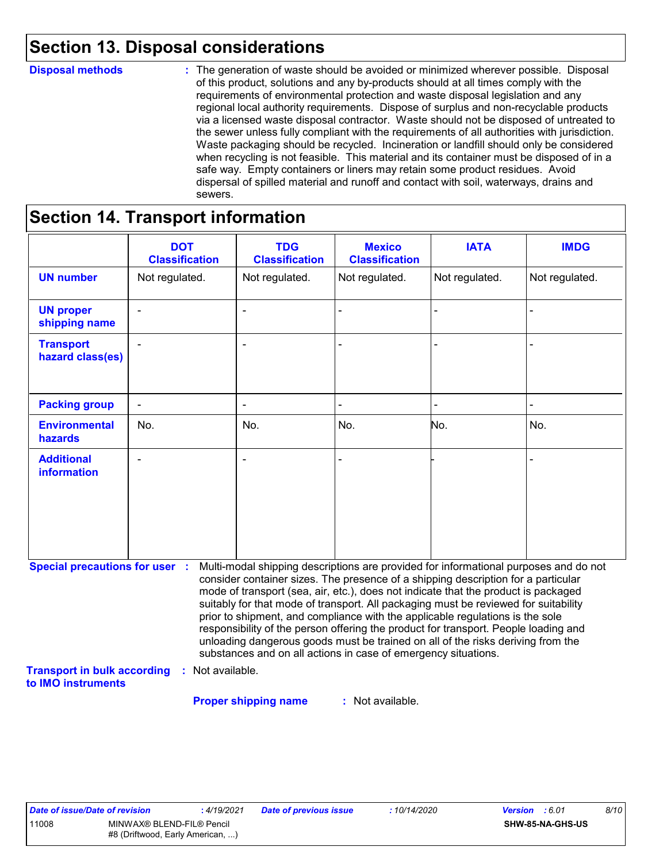## **Section 13. Disposal considerations**

#### **Disposal methods :**

The generation of waste should be avoided or minimized wherever possible. Disposal of this product, solutions and any by-products should at all times comply with the requirements of environmental protection and waste disposal legislation and any regional local authority requirements. Dispose of surplus and non-recyclable products via a licensed waste disposal contractor. Waste should not be disposed of untreated to the sewer unless fully compliant with the requirements of all authorities with jurisdiction. Waste packaging should be recycled. Incineration or landfill should only be considered when recycling is not feasible. This material and its container must be disposed of in a safe way. Empty containers or liners may retain some product residues. Avoid dispersal of spilled material and runoff and contact with soil, waterways, drains and sewers.

## **Section 14. Transport information**

|                                                          | <b>DOT</b><br><b>Classification</b> | <b>TDG</b><br><b>Classification</b>                                                                                                                                                                                                                                                                                                                                                                                                                                                                                                                                                                                                                                                 | <b>Mexico</b><br><b>Classification</b> | <b>IATA</b>    | <b>IMDG</b>    |
|----------------------------------------------------------|-------------------------------------|-------------------------------------------------------------------------------------------------------------------------------------------------------------------------------------------------------------------------------------------------------------------------------------------------------------------------------------------------------------------------------------------------------------------------------------------------------------------------------------------------------------------------------------------------------------------------------------------------------------------------------------------------------------------------------------|----------------------------------------|----------------|----------------|
| <b>UN number</b>                                         | Not regulated.                      | Not regulated.                                                                                                                                                                                                                                                                                                                                                                                                                                                                                                                                                                                                                                                                      | Not regulated.                         | Not regulated. | Not regulated. |
| <b>UN proper</b><br>shipping name                        |                                     |                                                                                                                                                                                                                                                                                                                                                                                                                                                                                                                                                                                                                                                                                     |                                        |                |                |
| <b>Transport</b><br>hazard class(es)                     |                                     |                                                                                                                                                                                                                                                                                                                                                                                                                                                                                                                                                                                                                                                                                     |                                        |                |                |
| <b>Packing group</b>                                     |                                     |                                                                                                                                                                                                                                                                                                                                                                                                                                                                                                                                                                                                                                                                                     |                                        |                |                |
| <b>Environmental</b><br>hazards                          | No.                                 | No.                                                                                                                                                                                                                                                                                                                                                                                                                                                                                                                                                                                                                                                                                 | No.                                    | No.            | No.            |
| <b>Additional</b><br><b>information</b>                  |                                     |                                                                                                                                                                                                                                                                                                                                                                                                                                                                                                                                                                                                                                                                                     |                                        |                |                |
| <b>Special precautions for user :</b>                    |                                     | Multi-modal shipping descriptions are provided for informational purposes and do not<br>consider container sizes. The presence of a shipping description for a particular<br>mode of transport (sea, air, etc.), does not indicate that the product is packaged<br>suitably for that mode of transport. All packaging must be reviewed for suitability<br>prior to shipment, and compliance with the applicable regulations is the sole<br>responsibility of the person offering the product for transport. People loading and<br>unloading dangerous goods must be trained on all of the risks deriving from the<br>substances and on all actions in case of emergency situations. |                                        |                |                |
| <b>Transport in bulk according</b><br>to IMO instruments | : Not available.                    |                                                                                                                                                                                                                                                                                                                                                                                                                                                                                                                                                                                                                                                                                     |                                        |                |                |
|                                                          |                                     | <b>Proper shipping name</b>                                                                                                                                                                                                                                                                                                                                                                                                                                                                                                                                                                                                                                                         | : Not available.                       |                |                |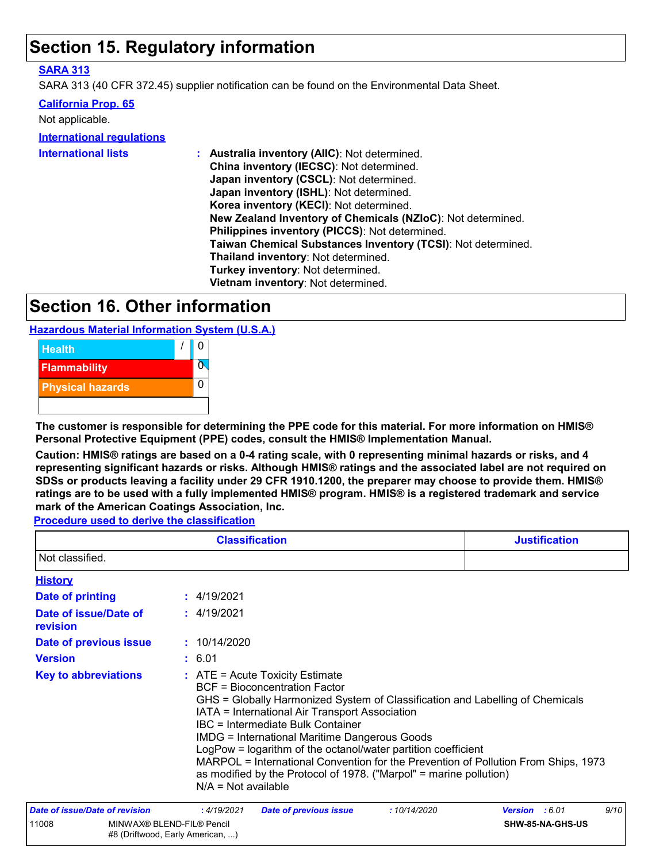## **Section 15. Regulatory information**

#### **SARA 313**

SARA 313 (40 CFR 372.45) supplier notification can be found on the Environmental Data Sheet.

#### **California Prop. 65**

| Not applicable.                  |                                                                                                                                                                                                                                                                                                                                                                                                                                                                                                                               |
|----------------------------------|-------------------------------------------------------------------------------------------------------------------------------------------------------------------------------------------------------------------------------------------------------------------------------------------------------------------------------------------------------------------------------------------------------------------------------------------------------------------------------------------------------------------------------|
| <b>International requlations</b> |                                                                                                                                                                                                                                                                                                                                                                                                                                                                                                                               |
| <b>International lists</b>       | : Australia inventory (AIIC): Not determined.<br>China inventory (IECSC): Not determined.<br>Japan inventory (CSCL): Not determined.<br>Japan inventory (ISHL): Not determined.<br>Korea inventory (KECI): Not determined.<br>New Zealand Inventory of Chemicals (NZIoC): Not determined.<br>Philippines inventory (PICCS): Not determined.<br>Taiwan Chemical Substances Inventory (TCSI): Not determined.<br>Thailand inventory: Not determined.<br>Turkey inventory: Not determined.<br>Vietnam inventory: Not determined. |

### **Section 16. Other information**

**Hazardous Material Information System (U.S.A.)**



**The customer is responsible for determining the PPE code for this material. For more information on HMIS® Personal Protective Equipment (PPE) codes, consult the HMIS® Implementation Manual.**

**Caution: HMIS® ratings are based on a 0-4 rating scale, with 0 representing minimal hazards or risks, and 4 representing significant hazards or risks. Although HMIS® ratings and the associated label are not required on SDSs or products leaving a facility under 29 CFR 1910.1200, the preparer may choose to provide them. HMIS® ratings are to be used with a fully implemented HMIS® program. HMIS® is a registered trademark and service mark of the American Coatings Association, Inc.**

**Procedure used to derive the classification**

|                                   | <b>Classification</b>                                                                                                                                                                                                                                                                                                                                                                                                                                                                                                                                    | <b>Justification</b>   |
|-----------------------------------|----------------------------------------------------------------------------------------------------------------------------------------------------------------------------------------------------------------------------------------------------------------------------------------------------------------------------------------------------------------------------------------------------------------------------------------------------------------------------------------------------------------------------------------------------------|------------------------|
| Not classified.                   |                                                                                                                                                                                                                                                                                                                                                                                                                                                                                                                                                          |                        |
| <b>History</b>                    |                                                                                                                                                                                                                                                                                                                                                                                                                                                                                                                                                          |                        |
| <b>Date of printing</b>           | : 4/19/2021                                                                                                                                                                                                                                                                                                                                                                                                                                                                                                                                              |                        |
| Date of issue/Date of<br>revision | : 4/19/2021                                                                                                                                                                                                                                                                                                                                                                                                                                                                                                                                              |                        |
| Date of previous issue            | : 10/14/2020                                                                                                                                                                                                                                                                                                                                                                                                                                                                                                                                             |                        |
| <b>Version</b>                    | : 6.01                                                                                                                                                                                                                                                                                                                                                                                                                                                                                                                                                   |                        |
| <b>Key to abbreviations</b>       | $:$ ATE = Acute Toxicity Estimate<br>BCF = Bioconcentration Factor<br>GHS = Globally Harmonized System of Classification and Labelling of Chemicals<br>IATA = International Air Transport Association<br>IBC = Intermediate Bulk Container<br><b>IMDG = International Maritime Dangerous Goods</b><br>LogPow = logarithm of the octanol/water partition coefficient<br>MARPOL = International Convention for the Prevention of Pollution From Ships, 1973<br>as modified by the Protocol of 1978. ("Marpol" = marine pollution)<br>$N/A = Not available$ |                        |
| Date of issue/Date of revision    | : 4/19/2021<br>:10/14/2020<br><b>Date of previous issue</b>                                                                                                                                                                                                                                                                                                                                                                                                                                                                                              | 9/10<br>Version : 6.01 |
| 11008                             | MINWAX® BLEND-FIL® Pencil<br>#8 (Driftwood, Early American, )                                                                                                                                                                                                                                                                                                                                                                                                                                                                                            | SHW-85-NA-GHS-US       |